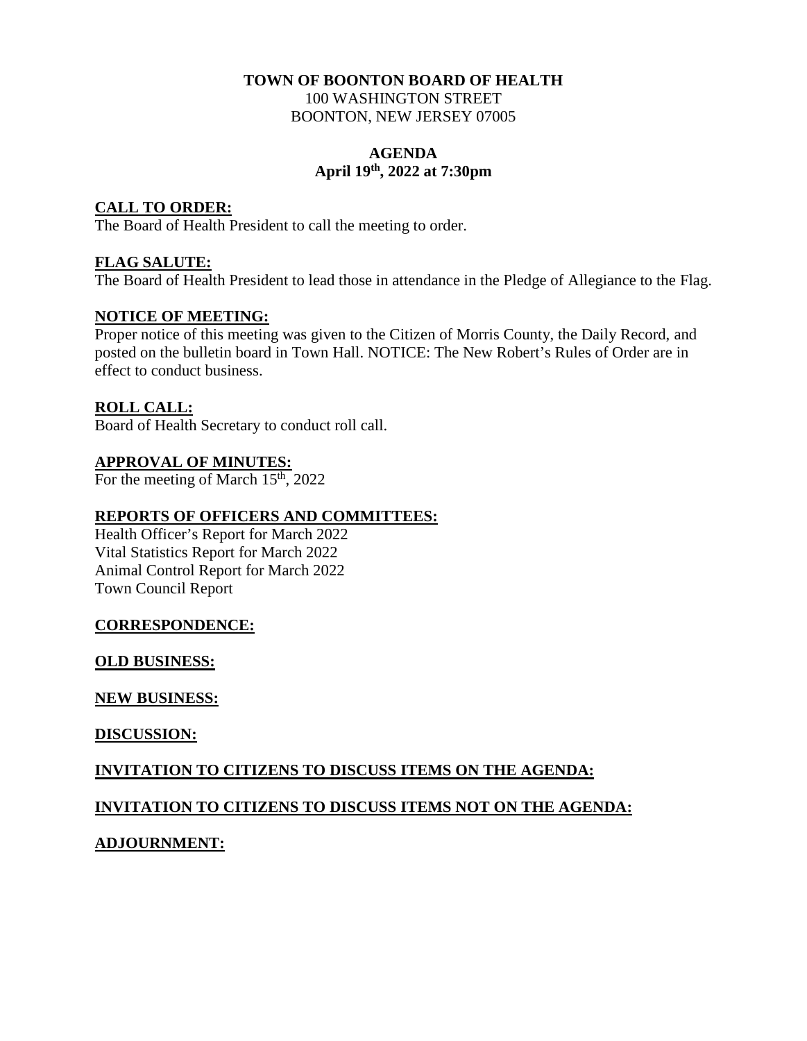#### **TOWN OF BOONTON BOARD OF HEALTH**  100 WASHINGTON STREET BOONTON, NEW JERSEY 07005

#### **AGENDA April 19th, 2022 at 7:30pm**

#### **CALL TO ORDER:**

The Board of Health President to call the meeting to order.

#### **FLAG SALUTE:**

The Board of Health President to lead those in attendance in the Pledge of Allegiance to the Flag.

#### **NOTICE OF MEETING:**

Proper notice of this meeting was given to the Citizen of Morris County, the Daily Record, and posted on the bulletin board in Town Hall. NOTICE: The New Robert's Rules of Order are in effect to conduct business.

#### **ROLL CALL:**

Board of Health Secretary to conduct roll call.

#### **APPROVAL OF MINUTES:**

For the meeting of March  $15<sup>th</sup>$ , 2022

### **REPORTS OF OFFICERS AND COMMITTEES:**

Health Officer's Report for March 2022 Vital Statistics Report for March 2022 Animal Control Report for March 2022 Town Council Report

#### **CORRESPONDENCE:**

#### **OLD BUSINESS:**

#### **NEW BUSINESS:**

#### **DISCUSSION:**

#### **INVITATION TO CITIZENS TO DISCUSS ITEMS ON THE AGENDA:**

#### **INVITATION TO CITIZENS TO DISCUSS ITEMS NOT ON THE AGENDA:**

#### **ADJOURNMENT:**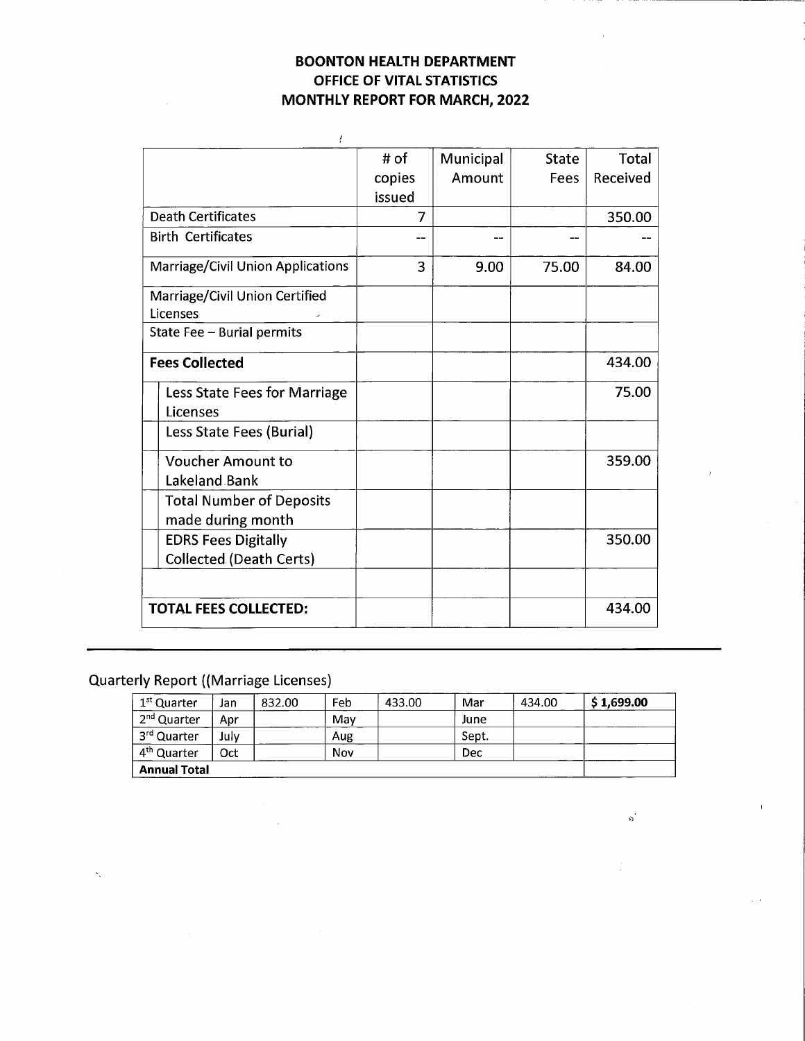#### **BOONTON HEALTH DEPARTMENT** OFFICE OF VITAL STATISTICS **MONTHLY REPORT FOR MARCH, 2022**

| ļ                                        |        |           |              |              |
|------------------------------------------|--------|-----------|--------------|--------------|
|                                          | # of   | Municipal | <b>State</b> | <b>Total</b> |
|                                          | copies | Amount    | Fees         | Received     |
|                                          | issued |           |              |              |
| <b>Death Certificates</b>                | 7      |           |              | 350.00       |
| <b>Birth Certificates</b>                | --     |           | --           |              |
| <b>Marriage/Civil Union Applications</b> | 3      | 9.00      | 75.00        | 84.00        |
| Marriage/Civil Union Certified           |        |           |              |              |
| Licenses                                 |        |           |              |              |
| State Fee - Burial permits               |        |           |              |              |
| <b>Fees Collected</b>                    |        |           |              | 434.00       |
| Less State Fees for Marriage             |        |           |              | 75.00        |
| Licenses                                 |        |           |              |              |
| Less State Fees (Burial)                 |        |           |              |              |
| <b>Voucher Amount to</b>                 |        |           |              | 359.00       |
| Lakeland Bank                            |        |           |              |              |
| <b>Total Number of Deposits</b>          |        |           |              |              |
| made during month                        |        |           |              |              |
| <b>EDRS Fees Digitally</b>               |        |           |              | 350.00       |
| <b>Collected (Death Certs)</b>           |        |           |              |              |
|                                          |        |           |              |              |
| <b>TOTAL FEES COLLECTED:</b>             |        |           |              | 434.00       |

## **Quarterly Report ((Marriage Licenses)**

| 1 <sup>st</sup> Quarter | Jan  | 832.00 | Feb | 433.00 | Mar   | 434.00 | \$1,699.00 |
|-------------------------|------|--------|-----|--------|-------|--------|------------|
| 2 <sup>nd</sup> Quarter | Apr  |        | Mav |        | June  |        |            |
| 3rd Quarter             | July |        | Aug |        | Sept. |        |            |
| 4 <sup>th</sup> Quarter | Oct  |        | Nov |        | Dec   |        |            |
| <b>Annual Total</b>     |      |        |     |        |       |        |            |

 $\rho_{\rm j}$